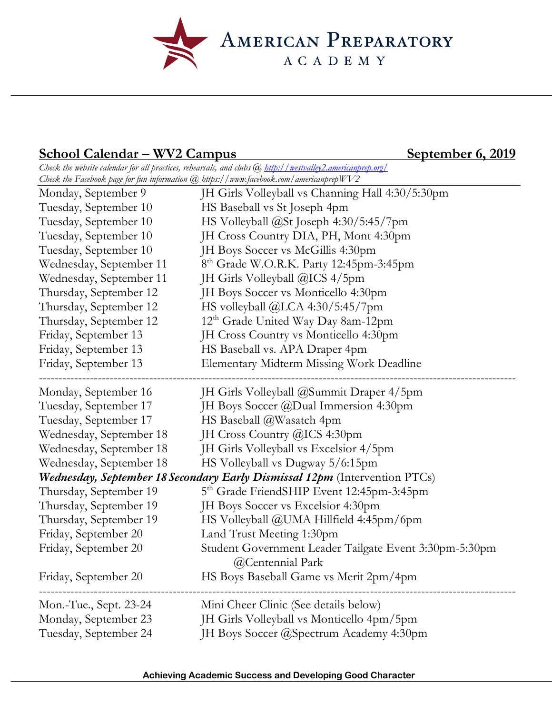AMERICAN PREPARATORY

## School Calendar – WV2 Campus September 6, 2019

*Check the website calendar for all practices, rehearsals, and clubs @ http://westvalley2.americanprep.org/ Check the Facebook page for fun information @ https://www.facebook.com/americanprepWV2*

| Monday, September 9                                                               | JH Girls Volleyball vs Channing Hall 4:30/5:30pm                           |
|-----------------------------------------------------------------------------------|----------------------------------------------------------------------------|
| Tuesday, September 10                                                             | HS Baseball vs St Joseph 4pm                                               |
| Tuesday, September 10                                                             | HS Volleyball @St Joseph 4:30/5:45/7pm                                     |
| Tuesday, September 10                                                             | JH Cross Country DIA, PH, Mont 4:30pm                                      |
| Tuesday, September 10                                                             | JH Boys Soccer vs McGillis 4:30pm                                          |
| Wednesday, September 11                                                           | 8 <sup>th</sup> Grade W.O.R.K. Party 12:45pm-3:45pm                        |
| Wednesday, September 11                                                           | JH Girls Volleyball @ICS 4/5pm                                             |
| Thursday, September 12                                                            | JH Boys Soccer vs Monticello 4:30pm                                        |
| Thursday, September 12                                                            | HS volleyball @LCA 4:30/5:45/7pm                                           |
| Thursday, September 12                                                            | 12 <sup>th</sup> Grade United Way Day 8am-12pm                             |
| Friday, September 13                                                              | JH Cross Country vs Monticello 4:30pm                                      |
| Friday, September 13                                                              | HS Baseball vs. APA Draper 4pm                                             |
| Friday, September 13                                                              | Elementary Midterm Missing Work Deadline                                   |
| Monday, September 16                                                              | JH Girls Volleyball @Summit Draper 4/5pm                                   |
| Tuesday, September 17                                                             | JH Boys Soccer @Dual Immersion 4:30pm                                      |
| Tuesday, September 17                                                             | HS Baseball @Wasatch 4pm                                                   |
| Wednesday, September 18                                                           | JH Cross Country @ICS 4:30pm                                               |
| Wednesday, September 18                                                           | JH Girls Volleyball vs Excelsior 4/5pm                                     |
| Wednesday, September 18                                                           | HS Volleyball vs Dugway 5/6:15pm                                           |
| <b>Wednesday, September 18 Secondary Early Dismissal 12pm</b> (Intervention PTCs) |                                                                            |
| Thursday, September 19                                                            | 5 <sup>th</sup> Grade FriendSHIP Event 12:45pm-3:45pm                      |
| Thursday, September 19                                                            | JH Boys Soccer vs Excelsior 4:30pm                                         |
| Thursday, September 19                                                            | HS Volleyball @UMA Hillfield 4:45pm/6pm                                    |
| Friday, September 20                                                              | Land Trust Meeting 1:30pm                                                  |
| Friday, September 20                                                              | Student Government Leader Tailgate Event 3:30pm-5:30pm<br>@Centennial Park |
| Friday, September 20                                                              | HS Boys Baseball Game vs Merit 2pm/4pm                                     |
| Mon.-Tue., Sept. 23-24                                                            | Mini Cheer Clinic (See details below)                                      |
| Monday, September 23                                                              | JH Girls Volleyball vs Monticello 4pm/5pm                                  |
| Tuesday, September 24                                                             | JH Boys Soccer @Spectrum Academy 4:30pm                                    |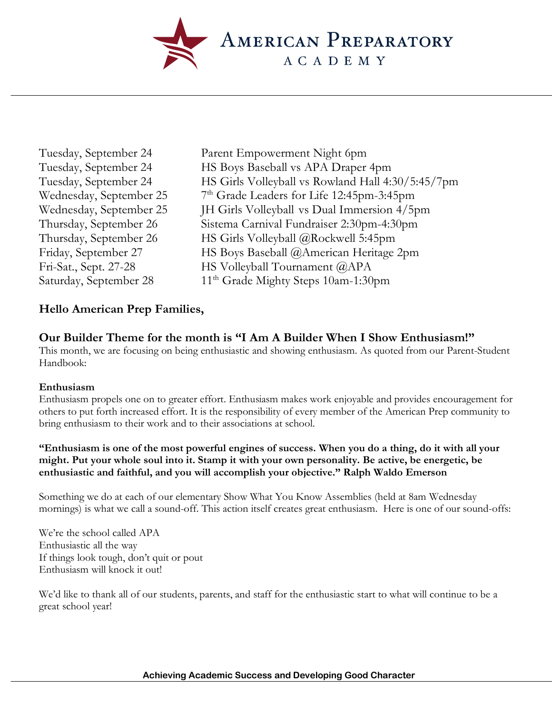

- 
- Tuesday, September 24 Parent Empowerment Night 6pm Tuesday, September 24 HS Boys Baseball vs APA Draper 4pm Tuesday, September 24 HS Girls Volleyball vs Rowland Hall 4:30/5:45/7pm Wednesday, September 25 7<sup>th</sup> Grade Leaders for Life 12:45pm-3:45pm Wednesday, September 25 JH Girls Volleyball vs Dual Immersion 4/5pm Thursday, September 26 Sistema Carnival Fundraiser 2:30pm-4:30pm Thursday, September 26 HS Girls Volleyball @Rockwell 5:45pm Friday, September 27 HS Boys Baseball @American Heritage 2pm Fri-Sat., Sept. 27-28 HS Volleyball Tournament @APA Saturday, September 28 11<sup>th</sup> Grade Mighty Steps 10am-1:30pm

## **Hello American Prep Families,**

## **Our Builder Theme for the month is "I Am A Builder When I Show Enthusiasm!"**

This month, we are focusing on being enthusiastic and showing enthusiasm. As quoted from our Parent-Student Handbook:

#### **Enthusiasm**

Enthusiasm propels one on to greater effort. Enthusiasm makes work enjoyable and provides encouragement for others to put forth increased effort. It is the responsibility of every member of the American Prep community to bring enthusiasm to their work and to their associations at school.

#### **"Enthusiasm is one of the most powerful engines of success. When you do a thing, do it with all your might. Put your whole soul into it. Stamp it with your own personality. Be active, be energetic, be enthusiastic and faithful, and you will accomplish your objective." Ralph Waldo Emerson**

Something we do at each of our elementary Show What You Know Assemblies (held at 8am Wednesday mornings) is what we call a sound-off. This action itself creates great enthusiasm. Here is one of our sound-offs:

We're the school called APA Enthusiastic all the way If things look tough, don't quit or pout Enthusiasm will knock it out!

We'd like to thank all of our students, parents, and staff for the enthusiastic start to what will continue to be a great school year!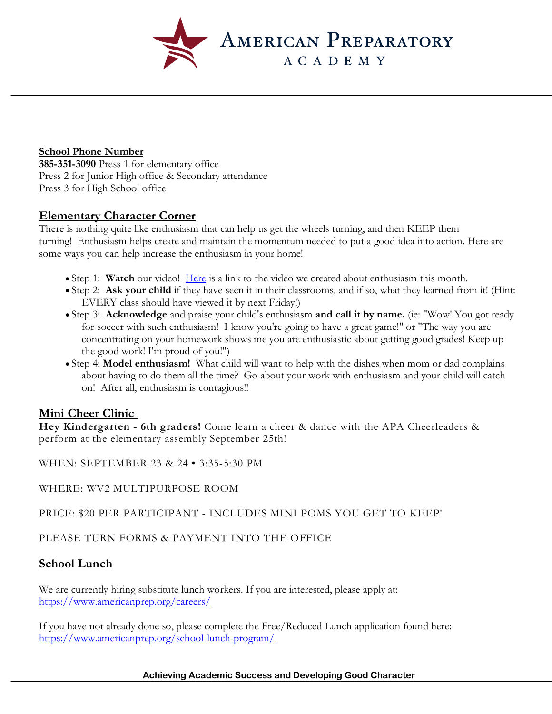

#### **School Phone Number**

**385-351-3090** Press 1 for elementary office Press 2 for Junior High office & Secondary attendance Press 3 for High School office

#### **Elementary Character Corner**

There is nothing quite like enthusiasm that can help us get the wheels turning, and then KEEP them turning! Enthusiasm helps create and maintain the momentum needed to put a good idea into action. Here are some ways you can help increase the enthusiasm in your home!

- Step 1: **Watch** our video! Here is a link to the video we created about enthusiasm this month.
- Step 2: **Ask your child** if they have seen it in their classrooms, and if so, what they learned from it! (Hint: EVERY class should have viewed it by next Friday!)
- Step 3: **Acknowledge** and praise your child's enthusiasm **and call it by name.** (ie: "Wow! You got ready for soccer with such enthusiasm! I know you're going to have a great game!" or "The way you are concentrating on your homework shows me you are enthusiastic about getting good grades! Keep up the good work! I'm proud of you!")
- Step 4: **Model enthusiasm!** What child will want to help with the dishes when mom or dad complains about having to do them all the time? Go about your work with enthusiasm and your child will catch on! After all, enthusiasm is contagious!!

## **Mini Cheer Clinic**

**Hey Kindergarten - 6th graders!** Come learn a cheer & dance with the APA Cheerleaders & perform at the elementary assembly September 25th!

WHEN: SEPTEMBER 23 & 24 • 3:35-5:30 PM

WHERE: WV2 MULTIPURPOSE ROOM

PRICE: \$20 PER PARTICIPANT - INCLUDES MINI POMS YOU GET TO KEEP!

PLEASE TURN FORMS & PAYMENT INTO THE OFFICE

## **School Lunch**

We are currently hiring substitute lunch workers. If you are interested, please apply at: https://www.americanprep.org/careers/

If you have not already done so, please complete the Free/Reduced Lunch application found here: https://www.americanprep.org/school-lunch-program/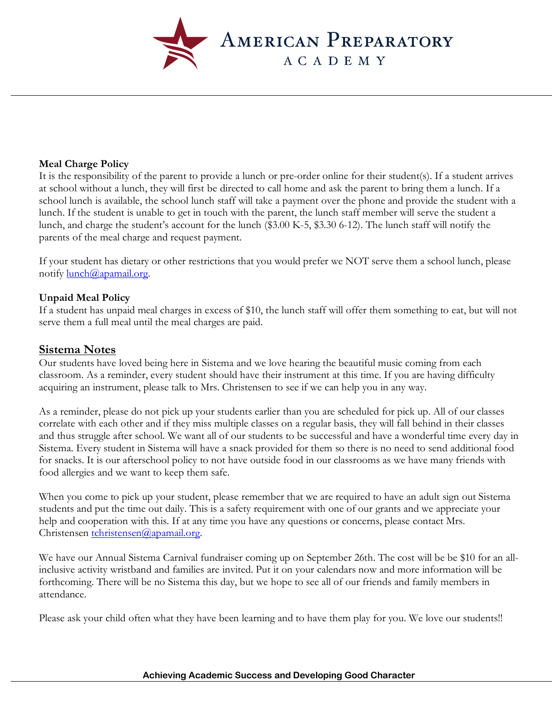

#### **Meal Charge Policy**

It is the responsibility of the parent to provide a lunch or pre-order online for their student(s). If a student arrives at school without a lunch, they will first be directed to call home and ask the parent to bring them a lunch. If a school lunch is available, the school lunch staff will take a payment over the phone and provide the student with a lunch. If the student is unable to get in touch with the parent, the lunch staff member will serve the student a lunch, and charge the student's account for the lunch (\$3.00 K-5, \$3.30 6-12). The lunch staff will notify the parents of the meal charge and request payment.

If your student has dietary or other restrictions that you would prefer we NOT serve them a school lunch, please notify lunch@apamail.org.

#### **Unpaid Meal Policy**

If a student has unpaid meal charges in excess of \$10, the lunch staff will offer them something to eat, but will not serve them a full meal until the meal charges are paid.

#### **Sistema Notes**

Our students have loved being here in Sistema and we love hearing the beautiful music coming from each classroom. As a reminder, every student should have their instrument at this time. If you are having difficulty acquiring an instrument, please talk to Mrs. Christensen to see if we can help you in any way.

As a reminder, please do not pick up your students earlier than you are scheduled for pick up. All of our classes correlate with each other and if they miss multiple classes on a regular basis, they will fall behind in their classes and thus struggle after school. We want all of our students to be successful and have a wonderful time every day in Sistema. Every student in Sistema will have a snack provided for them so there is no need to send additional food for snacks. It is our afterschool policy to not have outside food in our classrooms as we have many friends with food allergies and we want to keep them safe.

When you come to pick up your student, please remember that we are required to have an adult sign out Sistema students and put the time out daily. This is a safety requirement with one of our grants and we appreciate your help and cooperation with this. If at any time you have any questions or concerns, please contact Mrs. Christensen tchristensen@apamail.org.

We have our Annual Sistema Carnival fundraiser coming up on September 26th. The cost will be be \$10 for an allinclusive activity wristband and families are invited. Put it on your calendars now and more information will be forthcoming. There will be no Sistema this day, but we hope to see all of our friends and family members in attendance.

Please ask your child often what they have been learning and to have them play for you. We love our students!!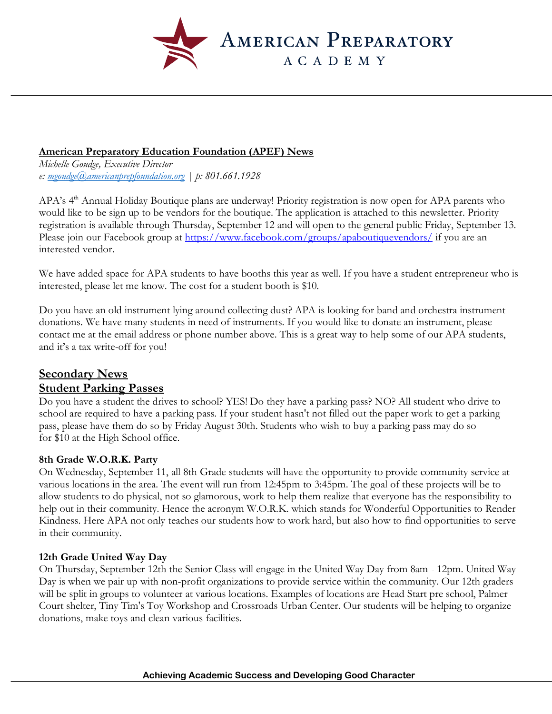

#### **American Preparatory Education Foundation (APEF) News**

*Michelle Goudge, Executive Director e: mgoudge@americanprepfoundation.org | p: 801.661.1928*

APA's 4<sup>th</sup> Annual Holiday Boutique plans are underway! Priority registration is now open for APA parents who would like to be sign up to be vendors for the boutique. The application is attached to this newsletter. Priority registration is available through Thursday, September 12 and will open to the general public Friday, September 13. Please join our Facebook group at https://www.facebook.com/groups/apaboutiquevendors/ if you are an interested vendor.

We have added space for APA students to have booths this year as well. If you have a student entrepreneur who is interested, please let me know. The cost for a student booth is \$10.

Do you have an old instrument lying around collecting dust? APA is looking for band and orchestra instrument donations. We have many students in need of instruments. If you would like to donate an instrument, please contact me at the email address or phone number above. This is a great way to help some of our APA students, and it's a tax write-off for you!

#### **Secondary News Student Parking Passes**

Do you have a student the drives to school? YES! Do they have a parking pass? NO? All student who drive to school are required to have a parking pass. If your student hasn't not filled out the paper work to get a parking pass, please have them do so by Friday August 30th. Students who wish to buy a parking pass may do so for \$10 at the High School office.

#### **8th Grade W.O.R.K. Party**

On Wednesday, September 11, all 8th Grade students will have the opportunity to provide community service at various locations in the area. The event will run from 12:45pm to 3:45pm. The goal of these projects will be to allow students to do physical, not so glamorous, work to help them realize that everyone has the responsibility to help out in their community. Hence the acronym W.O.R.K. which stands for Wonderful Opportunities to Render Kindness. Here APA not only teaches our students how to work hard, but also how to find opportunities to serve in their community.

#### **12th Grade United Way Day**

On Thursday, September 12th the Senior Class will engage in the United Way Day from 8am - 12pm. United Way Day is when we pair up with non-profit organizations to provide service within the community. Our 12th graders will be split in groups to volunteer at various locations. Examples of locations are Head Start pre school, Palmer Court shelter, Tiny Tim's Toy Workshop and Crossroads Urban Center. Our students will be helping to organize donations, make toys and clean various facilities.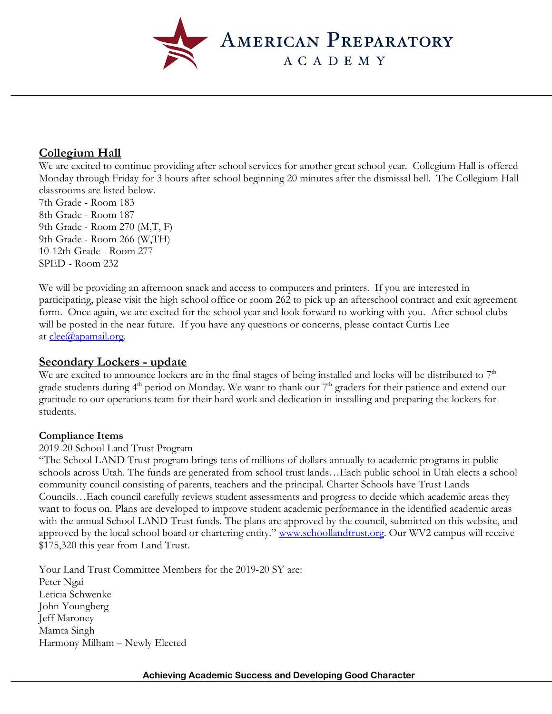

## **Collegium Hall**

We are excited to continue providing after school services for another great school year. Collegium Hall is offered Monday through Friday for 3 hours after school beginning 20 minutes after the dismissal bell. The Collegium Hall classrooms are listed below.

7th Grade - Room 183 8th Grade - Room 187 9th Grade - Room 270 (M,T, F) 9th Grade - Room 266 (W,TH) 10-12th Grade - Room 277 SPED - Room 232

We will be providing an afternoon snack and access to computers and printers. If you are interested in participating, please visit the high school office or room 262 to pick up an afterschool contract and exit agreement form. Once again, we are excited for the school year and look forward to working with you. After school clubs will be posted in the near future. If you have any questions or concerns, please contact Curtis Lee at  $clee@apamail.org$ .

## **Secondary Lockers - update**

We are excited to announce lockers are in the final stages of being installed and locks will be distributed to  $7<sup>th</sup>$ grade students during  $4<sup>th</sup>$  period on Monday. We want to thank our  $7<sup>th</sup>$  graders for their patience and extend our gratitude to our operations team for their hard work and dedication in installing and preparing the lockers for students.

#### **Compliance Items**

#### 2019-20 School Land Trust Program

"The School LAND Trust program brings tens of millions of dollars annually to academic programs in public schools across Utah. The funds are generated from school trust lands…Each public school in Utah elects a school community council consisting of parents, teachers and the principal. Charter Schools have Trust Lands Councils…Each council carefully reviews student assessments and progress to decide which academic areas they want to focus on. Plans are developed to improve student academic performance in the identified academic areas with the annual School LAND Trust funds. The plans are approved by the council, submitted on this website, and approved by the local school board or chartering entity." www.schoollandtrust.org. Our WV2 campus will receive \$175,320 this year from Land Trust.

Your Land Trust Committee Members for the 2019-20 SY are: Peter Ngai Leticia Schwenke John Youngberg Jeff Maroney Mamta Singh Harmony Milham – Newly Elected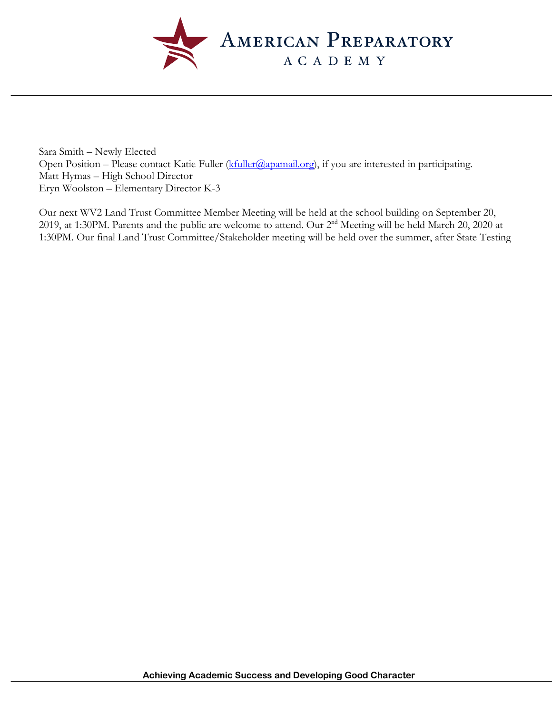

Sara Smith – Newly Elected Open Position – Please contact Katie Fuller (*kfuller@apamail.org*), if you are interested in participating. Matt Hymas – High School Director Eryn Woolston – Elementary Director K-3

Our next WV2 Land Trust Committee Member Meeting will be held at the school building on September 20, 2019, at 1:30PM. Parents and the public are welcome to attend. Our 2nd Meeting will be held March 20, 2020 at 1:30PM. Our final Land Trust Committee/Stakeholder meeting will be held over the summer, after State Testing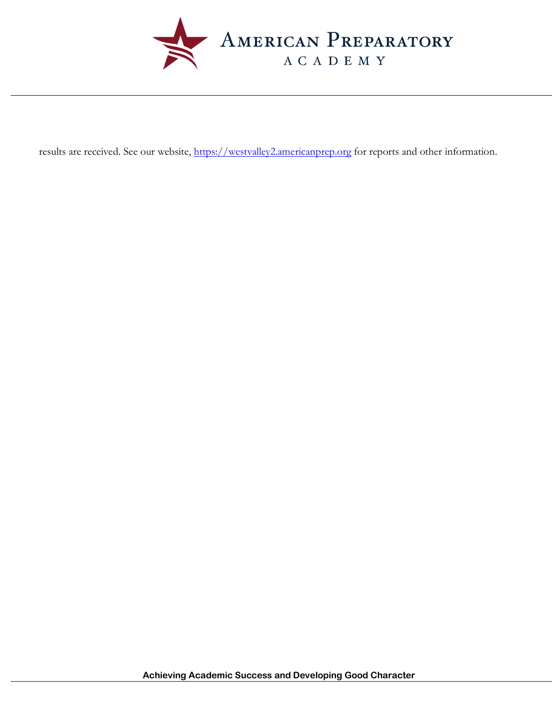

results are received. See our website, https://westvalley2.americanprep.org for reports and other information.